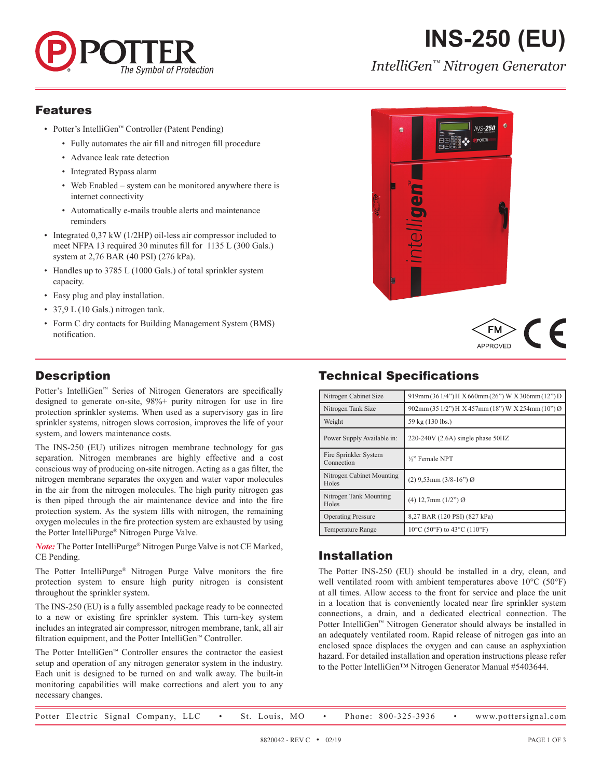

# **INS-250 (EU)**

*IntelliGen™ Nitrogen Generator*

#### Features

- Potter's IntelliGen™ Controller (Patent Pending)
	- Fully automates the air fill and nitrogen fill procedure
	- Advance leak rate detection
	- Integrated Bypass alarm
	- Web Enabled system can be monitored anywhere there is internet connectivity
	- Automatically e-mails trouble alerts and maintenance reminders
- Integrated 0.37 kW (1/2HP) oil-less air compressor included to meet NFPA 13 required 30 minutes fill for 1135 L (300 Gals.) system at 2,76 BAR (40 PSI) (276 kPa).
- Handles up to 3785 L (1000 Gals.) of total sprinkler system capacity.
- Easy plug and play installation.
- 37,9 L (10 Gals.) nitrogen tank.
- Form C dry contacts for Building Management System (BMS) notification.

## **Description**

Potter's IntelliGen™ Series of Nitrogen Generators are specifically designed to generate on-site, 98%+ purity nitrogen for use in fire protection sprinkler systems. When used as a supervisory gas in fire sprinkler systems, nitrogen slows corrosion, improves the life of your system, and lowers maintenance costs.

The INS-250 (EU) utilizes nitrogen membrane technology for gas separation. Nitrogen membranes are highly effective and a cost conscious way of producing on-site nitrogen. Acting as a gas filter, the nitrogen membrane separates the oxygen and water vapor molecules in the air from the nitrogen molecules. The high purity nitrogen gas is then piped through the air maintenance device and into the fire protection system. As the system fills with nitrogen, the remaining oxygen molecules in the fire protection system are exhausted by using the Potter IntelliPurge® Nitrogen Purge Valve.

*Note:* The Potter IntelliPurge® Nitrogen Purge Valve is not CE Marked, CE Pending.

The Potter IntelliPurge® Nitrogen Purge Valve monitors the fire protection system to ensure high purity nitrogen is consistent throughout the sprinkler system.

The INS-250 (EU) is a fully assembled package ready to be connected to a new or existing fire sprinkler system. This turn-key system includes an integrated air compressor, nitrogen membrane, tank, all air filtration equipment, and the Potter IntelliGen™ Controller.

The Potter IntelliGen™ Controller ensures the contractor the easiest setup and operation of any nitrogen generator system in the industry. Each unit is designed to be turned on and walk away. The built-in monitoring capabilities will make corrections and alert you to any necessary changes.





# Technical Specifications

| Nitrogen Cabinet Size               | 919mm(361/4") H X 660mm(26") W X 306mm(12") D     |
|-------------------------------------|---------------------------------------------------|
| Nitrogen Tank Size                  | 902mm (35 1/2") H X 457mm (18") W X 254mm (10") Ø |
| Weight                              | 59 kg (130 lbs.)                                  |
| Power Supply Available in:          | $220-240V$ (2.6A) single phase 50HZ               |
| Fire Sprinkler System<br>Connection | 1/ <sub>2</sub> " Female NPT                      |
| Nitrogen Cabinet Mounting<br>Holes  | $(2)$ 9,53mm $(3/8-16)$ <sup>"</sup> ) Ø          |
| Nitrogen Tank Mounting<br>Holes     | $(4)$ 12,7mm $(1/2)$ <sup>"</sup> ) $\Theta$      |
| <b>Operating Pressure</b>           | 8,27 BAR (120 PSI) (827 kPa)                      |
| <b>Temperature Range</b>            | 10°C (50°F) to 43°C (110°F)                       |

### Installation

The Potter INS-250 (EU) should be installed in a dry, clean, and well ventilated room with ambient temperatures above 10°C (50°F) at all times. Allow access to the front for service and place the unit in a location that is conveniently located near fire sprinkler system connections, a drain, and a dedicated electrical connection. The Potter IntelliGen™ Nitrogen Generator should always be installed in an adequately ventilated room. Rapid release of nitrogen gas into an enclosed space displaces the oxygen and can cause an asphyxiation hazard. For detailed installation and operation instructions please refer to the Potter IntelliGen™ Nitrogen Generator Manual #5403644.

|  |  |  | Potter Electric Signal Company, LLC |  |  |  | St. Louis, MO |  |  |  | Phone: 800-325-3936 |  | www.pottersignal.com |
|--|--|--|-------------------------------------|--|--|--|---------------|--|--|--|---------------------|--|----------------------|
|--|--|--|-------------------------------------|--|--|--|---------------|--|--|--|---------------------|--|----------------------|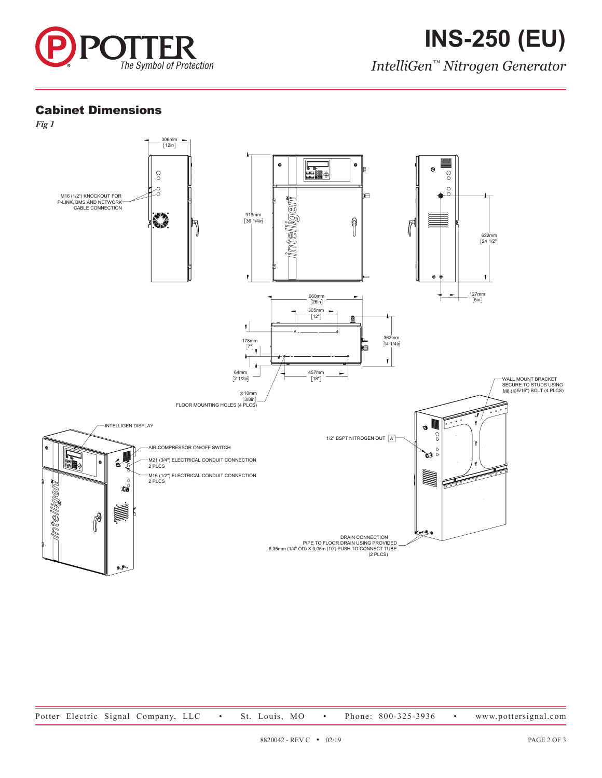

*IntelliGen™ Nitrogen Generator*

#### Cabinet Dimensions